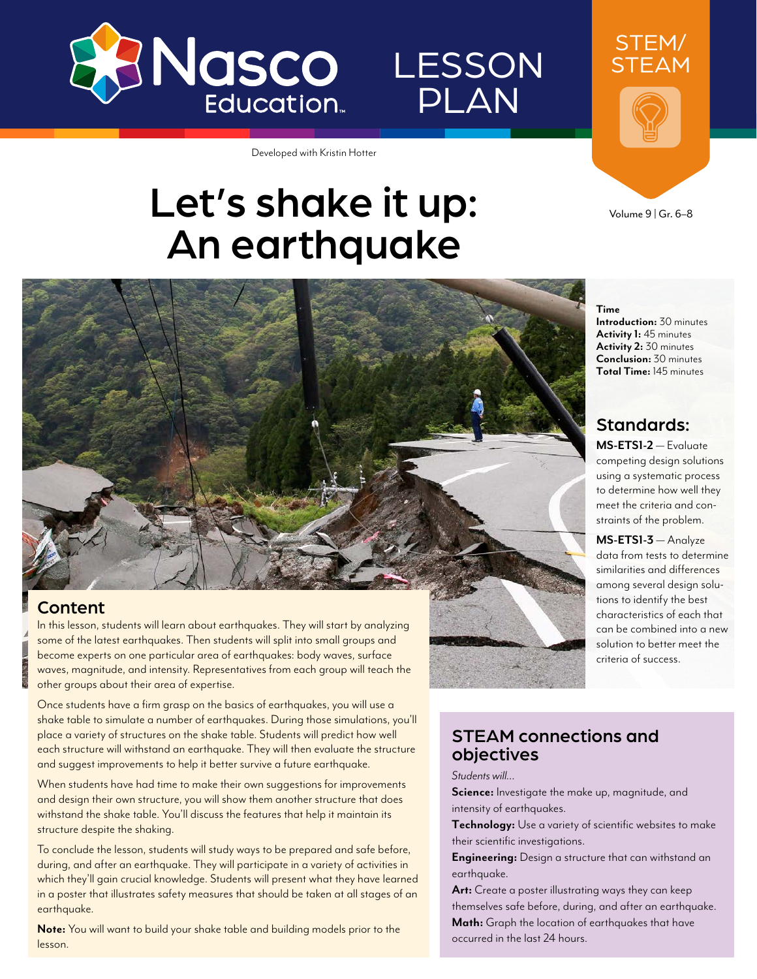

# LESSON PLAN

Developed with Kristin Hotter

# Let's shake it up: An earthquake

STEAM

STEM/

Volume 9 | Gr. 6–8

**Introduction:** 30 minutes **Activity 1:** 45 minutes **Activity 2:** 30 minutes **Conclusion:** 30 minutes **Total Time:** 145 minutes

Standards: **MS-ETS1-2** — Evaluate competing design solutions using a systematic process to determine how well they meet the criteria and constraints of the problem. **MS-ETS1-3** — Analyze data from tests to determine similarities and differences among several design solutions to identify the best characteristics of each that can be combined into a new solution to better meet the

criteria of success.

**Time**



#### Content

In this lesson, students will learn about earthquakes. They will start by analyzing some of the latest earthquakes. Then students will split into small groups and become experts on one particular area of earthquakes: body waves, surface waves, magnitude, and intensity. Representatives from each group will teach the other groups about their area of expertise.

Once students have a firm grasp on the basics of earthquakes, you will use a shake table to simulate a number of earthquakes. During those simulations, you'll place a variety of structures on the shake table. Students will predict how well each structure will withstand an earthquake. They will then evaluate the structure and suggest improvements to help it better survive a future earthquake.

When students have had time to make their own suggestions for improvements and design their own structure, you will show them another structure that does withstand the shake table. You'll discuss the features that help it maintain its structure despite the shaking.

To conclude the lesson, students will study ways to be prepared and safe before, during, and after an earthquake. They will participate in a variety of activities in which they'll gain crucial knowledge. Students will present what they have learned in a poster that illustrates safety measures that should be taken at all stages of an earthquake.

**Note:** You will want to build your shake table and building models prior to the lesson.

#### STEAM connections and objectives

*Students will…*

**Science:** Investigate the make up, magnitude, and intensity of earthquakes.

**Technology:** Use a variety of scientific websites to make their scientific investigations.

**Engineering:** Design a structure that can withstand an earthquake.

**Art:** Create a poster illustrating ways they can keep themselves safe before, during, and after an earthquake. **Math:** Graph the location of earthquakes that have occurred in the last 24 hours.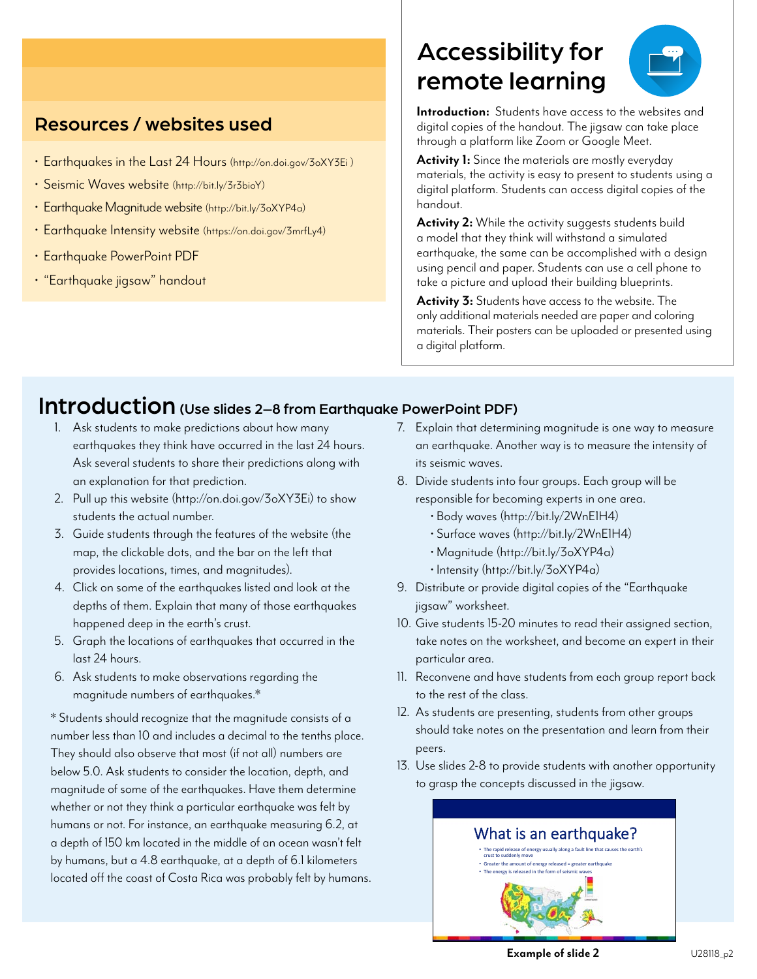#### Resources / websites used

- Earthquakes in the Last 24 Hours (<http://on.doi.gov/3oXY3Ei> )
- Seismic Waves website [\(http://bit.ly/3r3bioY\)](http://bit.ly/3r3bioY)
- Earthquake Magnitude website [\(http://bit.ly/3oXYP4a\)](http://bit.ly/3oXYP4a)
- Earthquake Intensity website [\(https://on.doi.gov/3mrfLy4\)](https://on.doi.gov/3mrfLy4)
- Earthquake PowerPoint PDF
- "Earthquake jigsaw" handout

# Accessibility for remote learning



**Introduction:** Students have access to the websites and digital copies of the handout. The jigsaw can take place through a platform like Zoom or Google Meet.

Activity 1: Since the materials are mostly everyday materials, the activity is easy to present to students using a digital platform. Students can access digital copies of the handout.

**Activity 2:** While the activity suggests students build a model that they think will withstand a simulated earthquake, the same can be accomplished with a design using pencil and paper. Students can use a cell phone to take a picture and upload their building blueprints.

**Activity 3:** Students have access to the website. The only additional materials needed are paper and coloring materials. Their posters can be uploaded or presented using a digital platform.

### Introduction (Use slides 2–8 from Earthquake PowerPoint PDF)

- 1. Ask students to make predictions about how many earthquakes they think have occurred in the last 24 hours. Ask several students to share their predictions along with an explanation for that prediction.
- 2. Pull up this website [\(http://on.doi.gov/3oXY3Ei](http://on.doi.gov/3oXY3Ei)) to show students the actual number.
- 3. Guide students through the features of the website (the map, the clickable dots, and the bar on the left that provides locations, times, and magnitudes).
- 4. Click on some of the earthquakes listed and look at the depths of them. Explain that many of those earthquakes happened deep in the earth's crust.
- 5. Graph the locations of earthquakes that occurred in the last 24 hours.
- 6. Ask students to make observations regarding the magnitude numbers of earthquakes.\*

\* Students should recognize that the magnitude consists of a number less than 10 and includes a decimal to the tenths place. They should also observe that most (if not all) numbers are below 5.0. Ask students to consider the location, depth, and magnitude of some of the earthquakes. Have them determine whether or not they think a particular earthquake was felt by humans or not. For instance, an earthquake measuring 6.2, at a depth of 150 km located in the middle of an ocean wasn't felt by humans, but a 4.8 earthquake, at a depth of 6.1 kilometers located off the coast of Costa Rica was probably felt by humans.

- 7. Explain that determining magnitude is one way to measure an earthquake. Another way is to measure the intensity of its seismic waves.
- 8. Divide students into four groups. Each group will be responsible for becoming experts in one area.
	- • [Body waves \(http://bit.ly/2WnE1H4](http://bit.ly/2WnE1H4))
	- • [Surface waves \(http://bit.ly/2WnE1H4\)](http://bit.ly/2WnE1H4)
	- • [Magnitude \(http://bit.ly/3oXYP4a\)](http://bit.ly/3oXYP4a)
	- • [Intensity \(http://bit.ly/3oXYP4a\)](http://bit.ly/3oXYP4a)
- 9. Distribute or provide digital copies of the "Earthquake jigsaw" worksheet.
- 10. Give students 15-20 minutes to read their assigned section, take notes on the worksheet, and become an expert in their particular area.
- 11. Reconvene and have students from each group report back to the rest of the class.
- 12. As students are presenting, students from other groups should take notes on the presentation and learn from their peers.
- 13. Use slides 2-8 to provide students with another opportunity to grasp the concepts discussed in the jigsaw.



**Example of slide 2**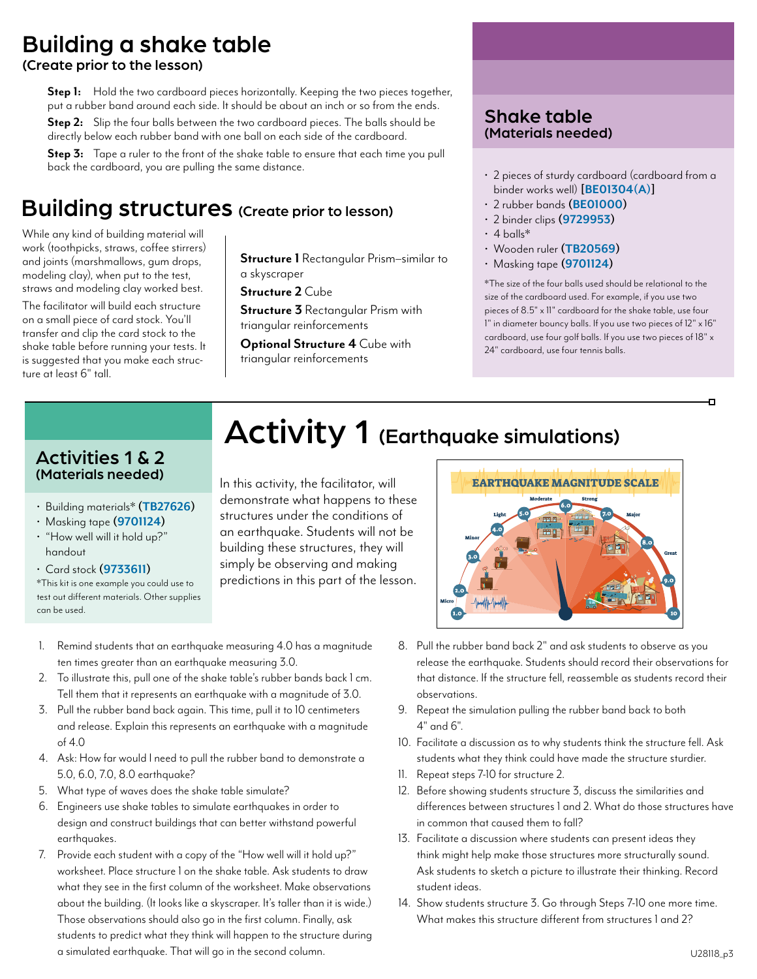# Building a shake table

(Create prior to the lesson)

**Step 1:** Hold the two cardboard pieces horizontally. Keeping the two pieces together, put a rubber band around each side. It should be about an inch or so from the ends. **Step 2:** Slip the four balls between the two cardboard pieces. The balls should be

directly below each rubber band with one ball on each side of the cardboard.

**Step 3:** Tape a ruler to the front of the shake table to ensure that each time you pull back the cardboard, you are pulling the same distance.

### Building structures (Create prior to lesson)

While any kind of building material will work (toothpicks, straws, coffee stirrers) and joints (marshmallows, gum drops, modeling clay), when put to the test, straws and modeling clay worked best.

The facilitator will build each structure on a small piece of card stock. You'll transfer and clip the card stock to the shake table before running your tests. It is suggested that you make each struc- ture at least 6" tall.

**Structure 1** Rectangular Prism–similar to a skyscraper

**Structure 2** Cube

**Structure 3** Rectangular Prism with triangular reinforcements

**Optional Structure 4** Cube with triangular reinforcements

#### Shake table (Materials needed)

- 2 pieces of sturdy cardboard (cardboard from a binder works well) **[\[BE01304\(A\)\]](https://www.enasco.com/p/BE01304(A))**
- 2 rubber bands **[\(BE01000\)](https://www.enasco.com/p/BE01000)**
- 2 binder clips **[\(9729953](https://www.enasco.com/p/9729953))**
- $\cdot$  4 balls\*
- Wooden ruler **[\(TB20569](https://www.enasco.com/p/TB20569))**
- Masking tape **[\(9701124\)](https://www.enasco.com/p/9701124)**

\*The size of the four balls used should be relational to the size of the cardboard used. For example, if you use two pieces of 8.5" x 11" cardboard for the shake table, use four 1" in diameter bouncy balls. If you use two pieces of 12" x 16" cardboard, use four golf balls. If you use two pieces of 18" x 24" cardboard, use four tennis balls.

#### Activities 1 & 2 (Materials needed)

- Building materials\***[\(TB27626](https://www.enasco.com/p/TB27626))**
- Masking tape **([9701124](https://www.enasco.com/p/9701124))**
- "How well will it hold up?" handout
- Card stock **([9733611](https://www.enasco.com/p/9733611))**

\*This kit is one example you could use to test out different materials. Other supplies can be used.

# Activity 1 (Earthquake simulations)

In this activity, the facilitator, will demonstrate what happens to these structures under the conditions of an earthquake. Students will not be building these structures, they will simply be observing and making predictions in this part of the lesson.



- 2. To illustrate this, pull one of the shake table's rubber bands back 1 cm. Tell them that it represents an earthquake with a magnitude of 3.0.
- 3. Pull the rubber band back again. This time, pull it to 10 centimeters and release. Explain this represents an earthquake with a magnitude of 4.0
- 4. Ask: How far would I need to pull the rubber band to demonstrate a 5.0, 6.0, 7.0, 8.0 earthquake?
- 5. What type of waves does the shake table simulate?
- 6. Engineers use shake tables to simulate earthquakes in order to design and construct buildings that can better withstand powerful earthauakes.
- 7. Provide each student with a copy of the "How well will it hold up?" worksheet. Place structure 1 on the shake table. Ask students to draw what they see in the first column of the worksheet. Make observations about the building. (It looks like a skyscraper. It's taller than it is wide.) Those observations should also go in the first column. Finally, ask students to predict what they think will happen to the structure during a simulated earthquake. That will go in the second column.



- 8. Pull the rubber band back 2" and ask students to observe as you release the earthquake. Students should record their observations for that distance. If the structure fell, reassemble as students record their observations.
- 9. Repeat the simulation pulling the rubber band back to both  $4"$  and  $6"$
- 10. Facilitate a discussion as to why students think the structure fell. Ask students what they think could have made the structure sturdier.
- 11. Repeat steps 7-10 for structure 2.
- 12. Before showing students structure 3, discuss the similarities and differences between structures 1 and 2. What do those structures have in common that caused them to fall?
- 13. Facilitate a discussion where students can present ideas they think might help make those structures more structurally sound. Ask students to sketch a picture to illustrate their thinking. Record student ideas.
- 14. Show students structure 3. Go through Steps 7-10 one more time. What makes this structure different from structures 1 and 2?

ō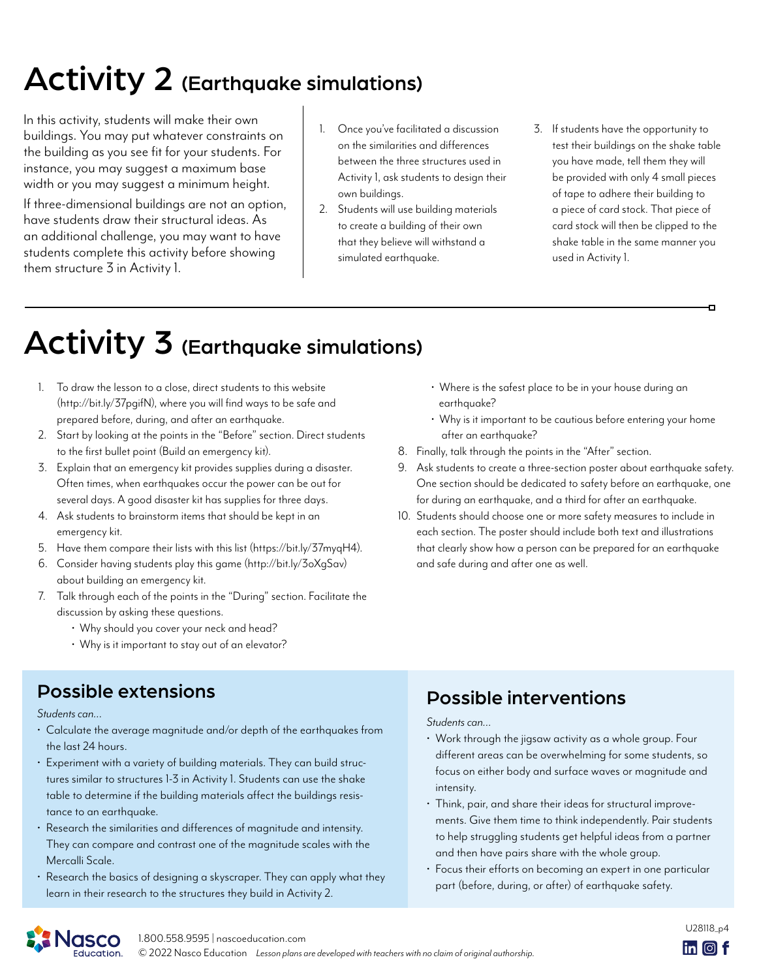# Activity 2 (Earthquake simulations)

In this activity, students will make their own buildings. You may put whatever constraints on the building as you see fit for your students. For instance, you may suggest a maximum base width or you may suggest a minimum height.

If three-dimensional buildings are not an option, have students draw their structural ideas. As an additional challenge, you may want to have students complete this activity before showing them structure 3 in Activity 1.

- 1. Once you've facilitated a discussion on the similarities and differences between the three structures used in Activity 1, ask students to design their own buildings.
- 2. Students will use building materials to create a building of their own that they believe will withstand a simulated earthquake.
- 3. If students have the opportunity to test their buildings on the shake table you have made, tell them they will be provided with only 4 small pieces of tape to adhere their building to a piece of card stock. That piece of card stock will then be clipped to the shake table in the same manner you used in Activity 1.

o

# Activity 3 (Earthquake simulations)

- 1. To draw the lesson to a close, direct students to this website [\(http://bit.ly/37pgifN](http://bit.ly/37pgifN)), where you will find ways to be safe and prepared before, during, and after an earthquake.
- 2. Start by looking at the points in the "Before" section. Direct students to the first bullet point (Build an emergency kit).
- 3. Explain that an emergency kit provides supplies during a disaster. Often times, when earthquakes occur the power can be out for several days. A good disaster kit has supplies for three days.
- 4. Ask students to brainstorm items that should be kept in an emergency kit.
- 5. Have them compare their lists with this list [\(https://bit.ly/37myqH4](https://bit.ly/37myqH4)).
- 6. Consider having students play this game [\(http://bit.ly/3oXgSav\)](http://bit.ly/3oXgSav) about building an emergency kit.
- 7. Talk through each of the points in the "During" section. Facilitate the discussion by asking these questions.
	- Why should you cover your neck and head?
	- Why is it important to stay out of an elevator?
- Possible extensions **Possible interventions**

*Students can…*

- Calculate the average magnitude and/or depth of the earthquakes from the last 24 hours.
- Experiment with a variety of building materials. They can build structures similar to structures 1-3 in Activity 1. Students can use the shake table to determine if the building materials affect the buildings resistance to an earthquake.
- Research the similarities and differences of magnitude and intensity. They can compare and contrast one of the magnitude scales with the Mercalli Scale.
- Research the basics of designing a skyscraper. They can apply what they learn in their research to the structures they build in Activity 2.
- Where is the safest place to be in your house during an earthquake?
- Why is it important to be cautious before entering your home after an earthquake?
- 8. Finally, talk through the points in the "After" section.
- 9. Ask students to create a three-section poster about earthquake safety. One section should be dedicated to safety before an earthquake, one for during an earthquake, and a third for after an earthquake.
- 10. Students should choose one or more safety measures to include in each section. The poster should include both text and illustrations that clearly show how a person can be prepared for an earthquake and safe during and after one as well.

*Students can…*

- Work through the jigsaw activity as a whole group. Four different areas can be overwhelming for some students, so focus on either body and surface waves or magnitude and intensity.
- Think, pair, and share their ideas for structural improvements. Give them time to think independently. Pair students to help struggling students get helpful ideas from a partner and then have pairs share with the whole group.
- Focus their efforts on becoming an expert in one particular part (before, during, or after) of earthquake safety.

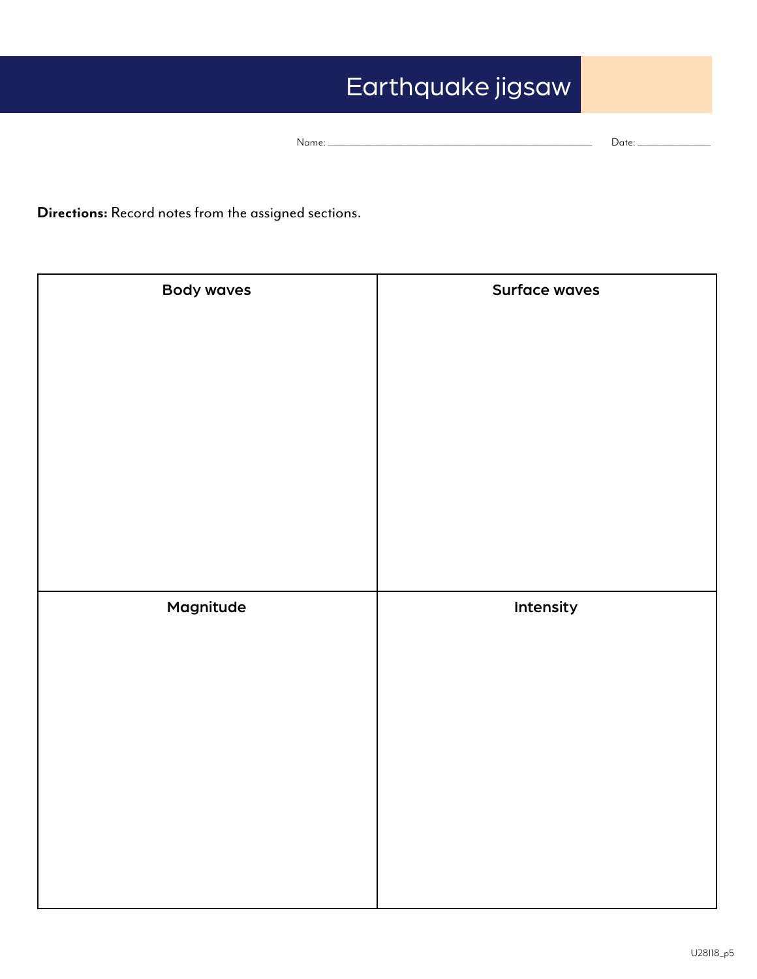# Earthquake jigsaw

| Nc | . . |
|----|-----|
|----|-----|

**Directions:** Record notes from the assigned sections.

| <b>Body waves</b> | Surface waves |
|-------------------|---------------|
|                   |               |
|                   |               |
|                   |               |
|                   |               |
|                   |               |
|                   |               |
|                   |               |
|                   |               |
| Magnitude         | Intensity     |
|                   |               |
|                   |               |
|                   |               |
|                   |               |
|                   |               |
|                   |               |
|                   |               |
|                   |               |
|                   |               |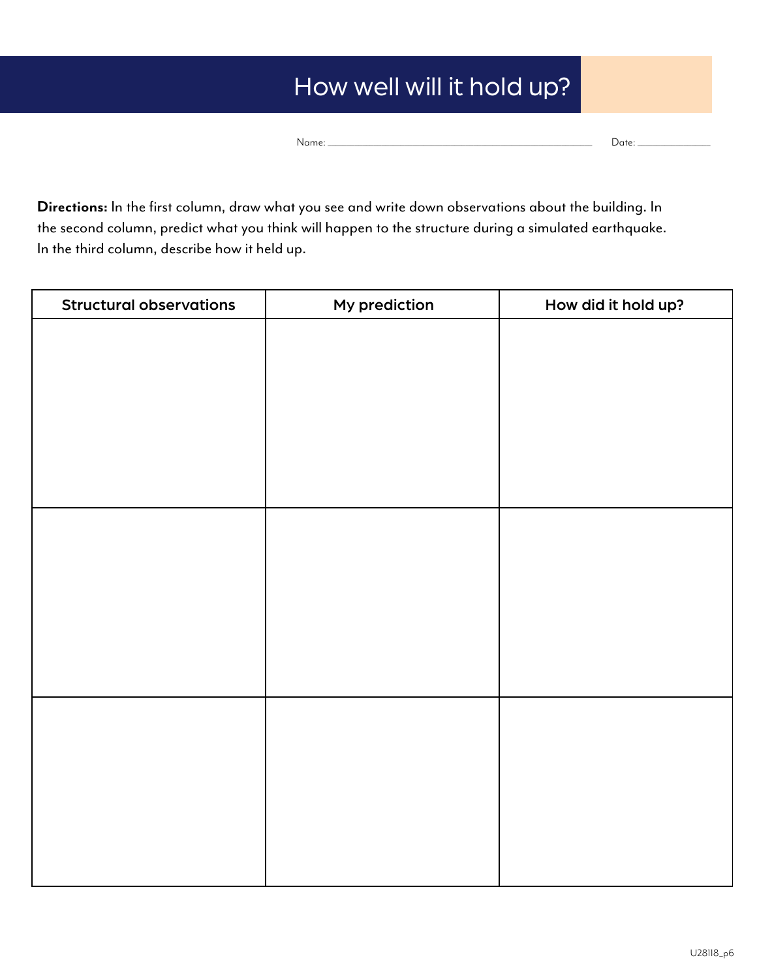# How well will it hold up?

Name: \_\_\_\_\_\_\_\_\_\_\_\_\_\_\_\_\_\_\_\_\_\_\_\_\_\_\_\_\_\_\_\_\_\_\_\_\_\_\_\_\_\_\_\_\_\_\_\_\_\_\_\_\_\_\_\_\_\_\_\_\_\_\_\_\_\_\_\_\_ Date: \_\_\_\_\_\_\_\_\_\_\_\_\_\_\_\_\_\_\_

**Directions:** In the first column, draw what you see and write down observations about the building. In the second column, predict what you think will happen to the structure during a simulated earthquake. In the third column, describe how it held up.

| <b>Structural observations</b> | My prediction | How did it hold up? |
|--------------------------------|---------------|---------------------|
|                                |               |                     |
|                                |               |                     |
|                                |               |                     |
|                                |               |                     |
|                                |               |                     |
|                                |               |                     |
|                                |               |                     |
|                                |               |                     |
|                                |               |                     |
|                                |               |                     |
|                                |               |                     |
|                                |               |                     |
|                                |               |                     |
|                                |               |                     |
|                                |               |                     |
|                                |               |                     |
|                                |               |                     |
|                                |               |                     |
|                                |               |                     |
|                                |               |                     |
|                                |               |                     |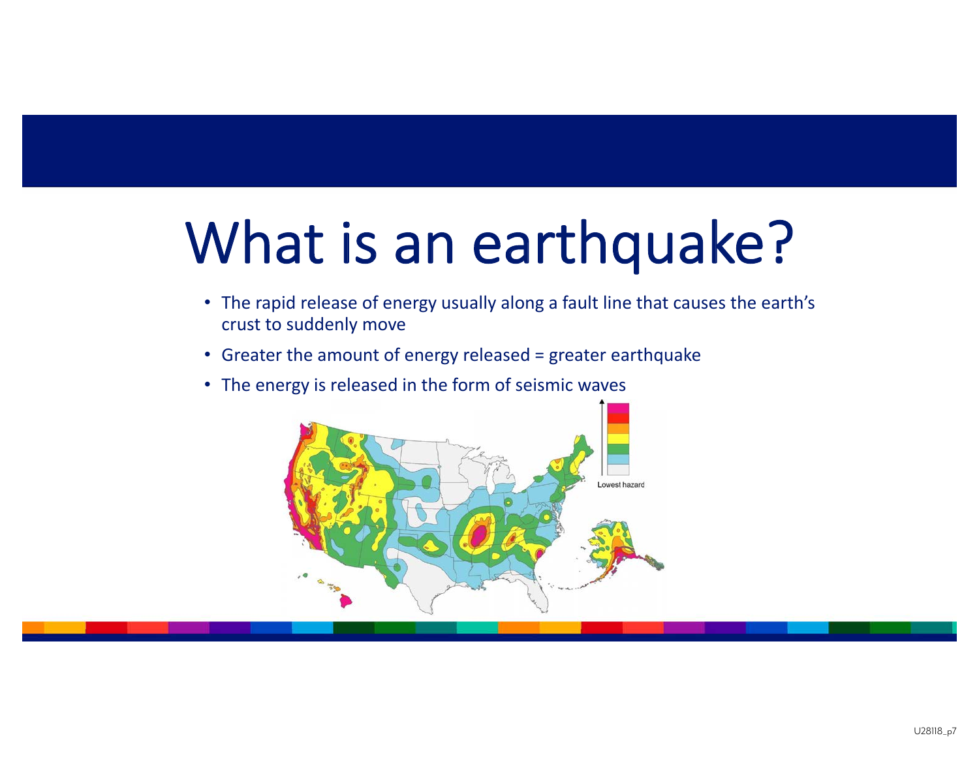# What is an earthquake?

- The rapid release of energy usually along a fault line that causes the earth's crust to suddenly move
- Greater the amount of energy released = greater earthquake
- The energy is released in the form of seismic waves

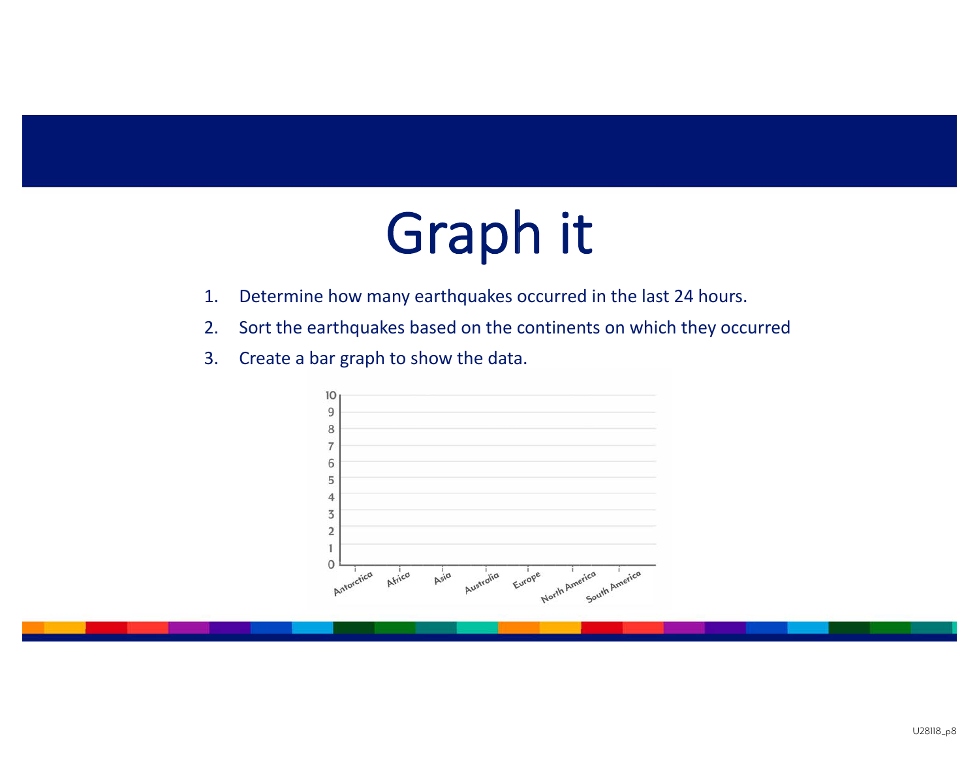# Graph it

- 1.Determine how many earthquakes occurred in the last 24 hours.
- 2.Sort the earthquakes based on the continents on which they occurred
- 3.Create a bar graph to show the data.

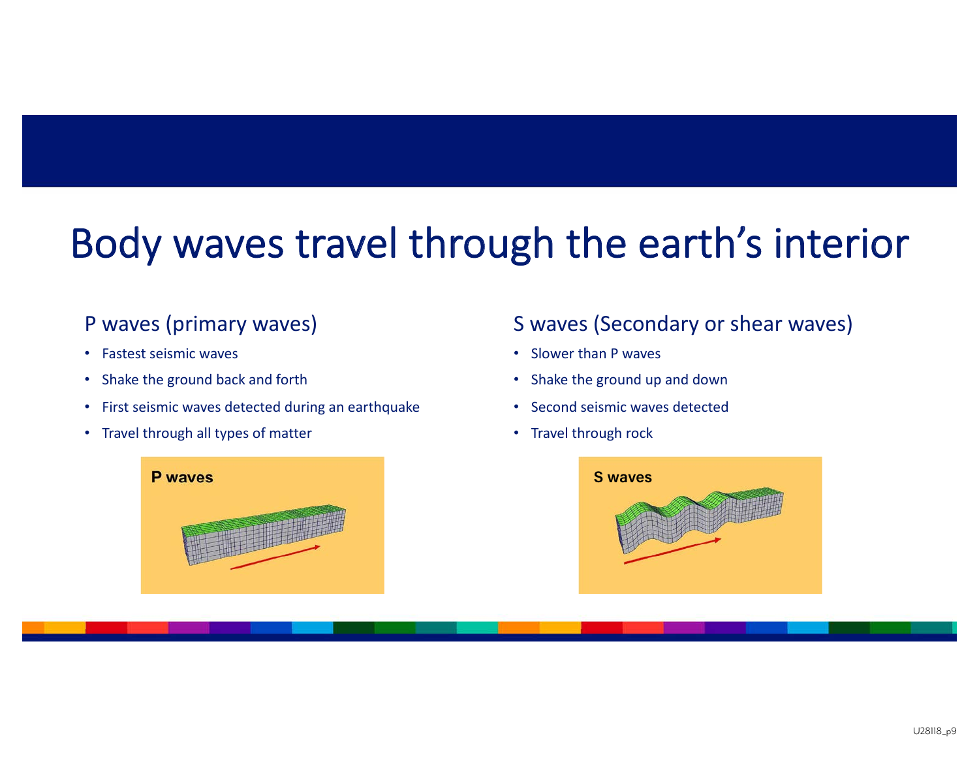# Body waves travel through the earth's interior

### P waves (primary waves)

- •Fastest seismic waves
- •Shake the ground back and forth
- •First seismic waves detected during an earthquake
- Travel through all types of matter



### S waves (Secondary or shear waves)

- Slower than P waves
- Shake the ground up and down
- •Second seismic waves detected
- Travel through rock

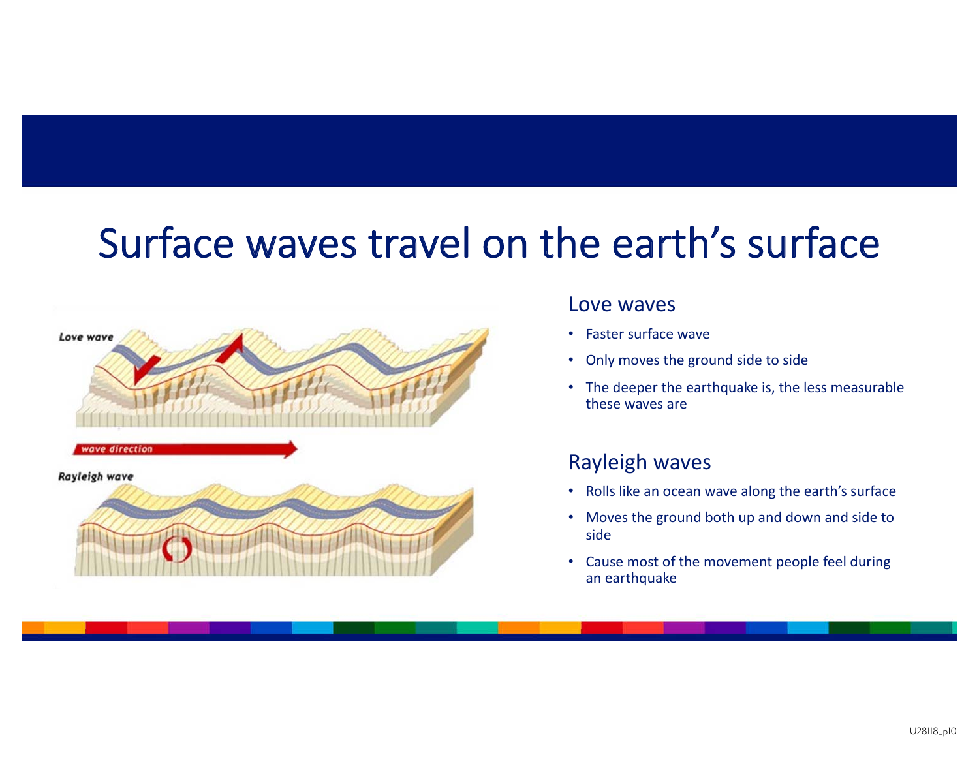# Surface waves travel on the earth's surface



#### Love waves

- Faster surface wave
- Only moves the ground side to side
- The deeper the earthquake is, the less measurable these waves are

### Rayleigh waves

- Rolls like an ocean wave along the earth's surface
- Moves the ground both up and down and side to side
- Cause most of the movement people feel during an earthquake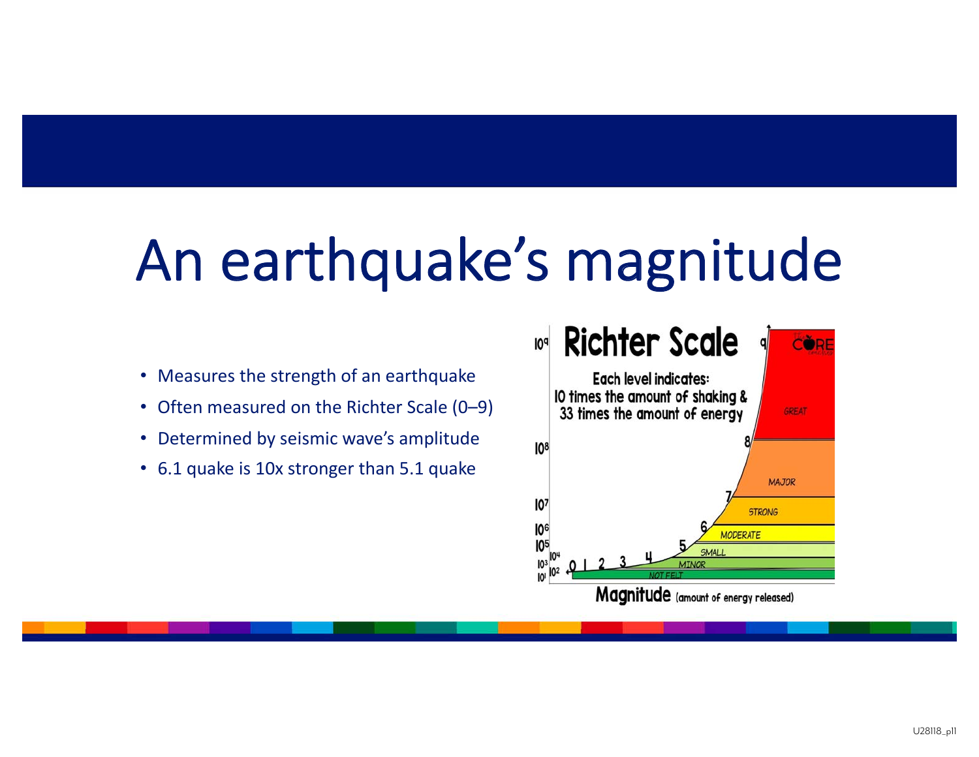# An earthquake's magnitude

- Measures the strength of an earthquake
- Often measured on the Richter Scale (0–9)
- Determined by seismic wave's amplitude
- 6.1 quake is 10x stronger than 5.1 quake

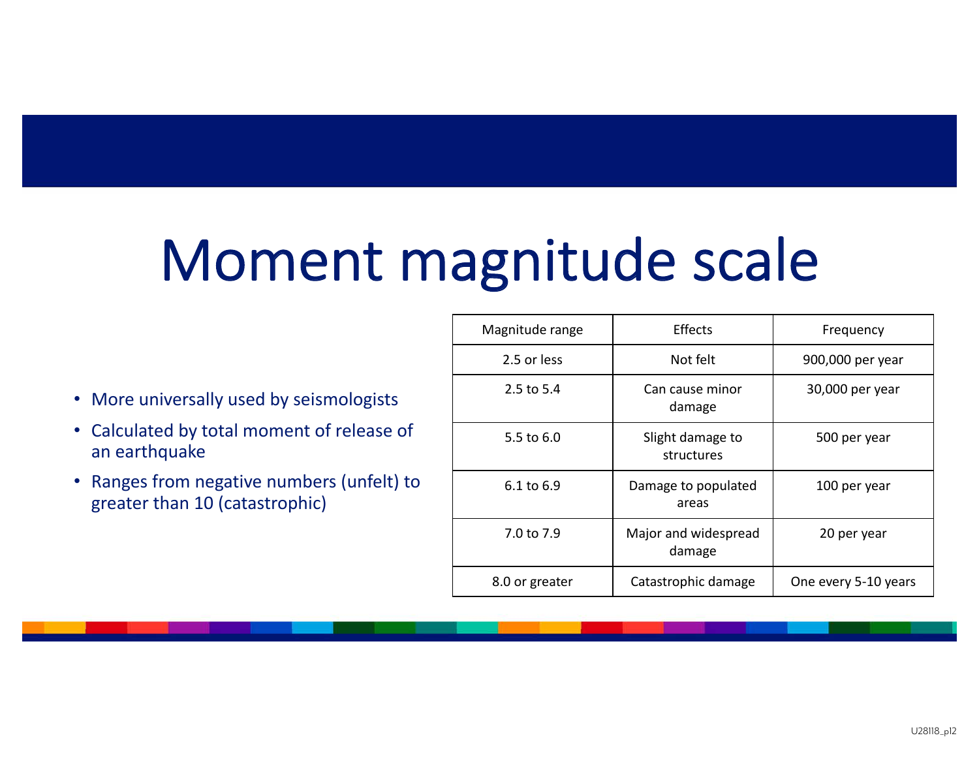# Moment magnitude scale

- More universally used by seismologists
- Calculated by total moment of release of an earthquake
- Ranges from negative numbers (unfelt) to greater than 10 (catastrophic)

| Magnitude range | <b>Effects</b>                 | Frequency            |
|-----------------|--------------------------------|----------------------|
| 2.5 or less     | Not felt                       | 900,000 per year     |
| 2.5 to 5.4      | Can cause minor<br>damage      | 30,000 per year      |
| 5.5 to 6.0      | Slight damage to<br>structures | 500 per year         |
| 6.1 to 6.9      | Damage to populated<br>areas   | 100 per year         |
| 7.0 to 7.9      | Major and widespread<br>damage | 20 per year          |
| 8.0 or greater  | Catastrophic damage            | One every 5-10 years |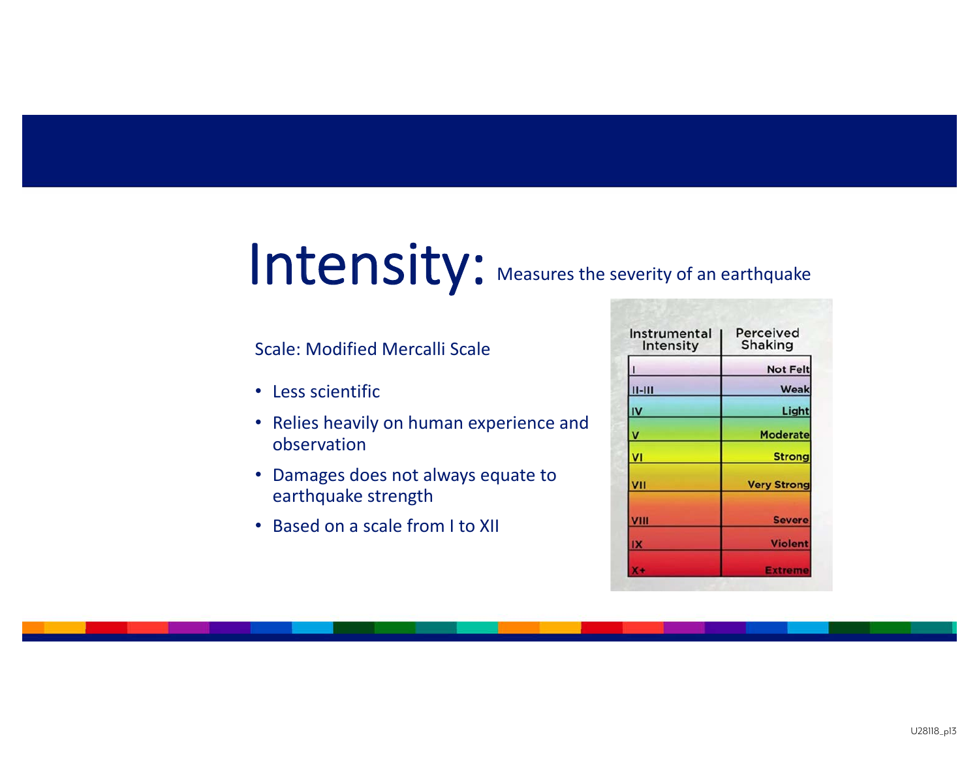# Intensity: Measures the severity of an earthquake

#### Scale: Modified Mercalli Scale

- Less scientific
- Relies heavily on human experience and observation
- Damages does not always equate to earthquake strength
- Based on a scale from I to XII

| Instrumental<br>Intensity | Perceived<br><b>Shaking</b> |  |
|---------------------------|-----------------------------|--|
|                           | <b>Not Felt</b>             |  |
| $II-HII$                  | Weak                        |  |
| IV                        | Light                       |  |
| v                         | <b>Moderate</b>             |  |
| VI                        | <b>Strong</b>               |  |
| VII                       | <b>Very Strong</b>          |  |
| VIII                      | <b>Severe</b>               |  |
| IX                        | <b>Violent</b>              |  |
|                           | <b>Extreme</b>              |  |